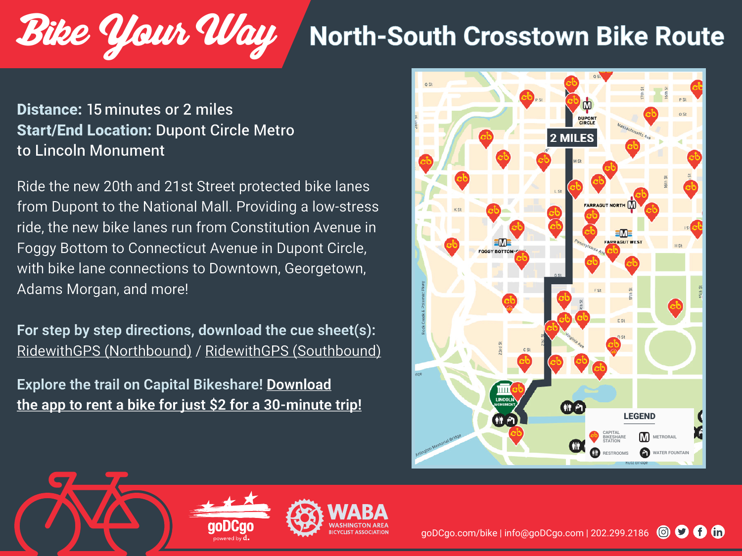

## **North-South Crosstown Bike Route**

## Distance: 15 minutes or 2 miles Start/End Location: Dupont Circle Metro to Lincoln Monument

Ride the new 20th and 21st Street protected bike lanes from Dupont to the National Mall. Providing a low-stress ride, the new bike lanes run from Constitution Avenue in Foggy Bottom to Connecticut Avenue in Dupont Circle, with bike lane connections to Downtown, Georgetown, Adams Morgan, and more!

**For step by step directions, download the cue sheet(s):** [RidewithGPS \(Northbound\)](https://ridewithgps.com/routes/36022164?privacy_code=5qDx5UDeafdO01O4) / [RidewithGPS \(Southbound\)](https://ridewithgps.com/routes/36022233?privacy_code=BfOJ5Kp2eBcenxQC)

**Explore the trail o[n Capital Bikeshare! Download](https://www.capitalbikeshare.com/how-it-works/get-the-app) [the app to rent a bike for just \\$2 for a 30-minute trip!](https://www.capitalbikeshare.com/how-it-works/get-the-app)**